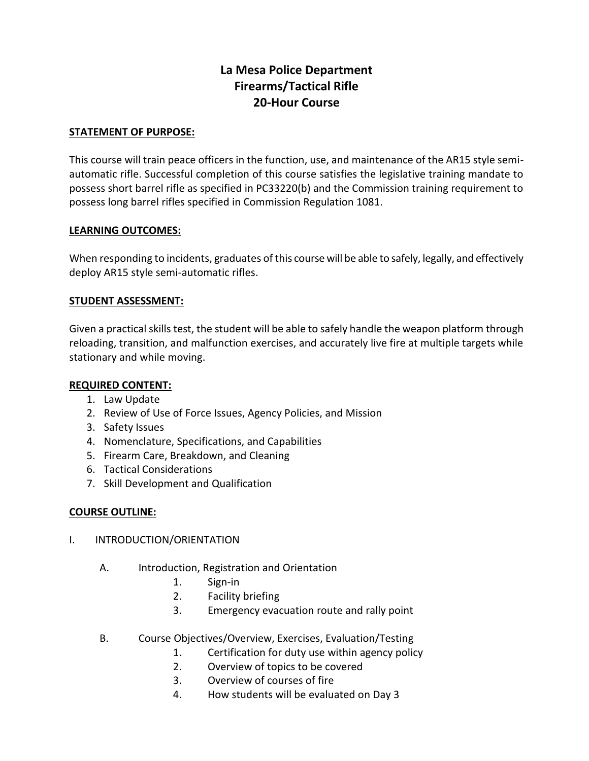# **La Mesa Police Department Firearms/Tactical Rifle 20-Hour Course**

#### **STATEMENT OF PURPOSE:**

This course will train peace officers in the function, use, and maintenance of the AR15 style semiautomatic rifle. Successful completion of this course satisfies the legislative training mandate to possess short barrel rifle as specified in PC33220(b) and the Commission training requirement to possess long barrel rifles specified in Commission Regulation 1081.

#### **LEARNING OUTCOMES:**

When responding to incidents, graduates of this course will be able to safely, legally, and effectively deploy AR15 style semi-automatic rifles.

#### **STUDENT ASSESSMENT:**

Given a practical skills test, the student will be able to safely handle the weapon platform through reloading, transition, and malfunction exercises, and accurately live fire at multiple targets while stationary and while moving.

#### **REQUIRED CONTENT:**

- 1. Law Update
- 2. Review of Use of Force Issues, Agency Policies, and Mission
- 3. Safety Issues
- 4. Nomenclature, Specifications, and Capabilities
- 5. Firearm Care, Breakdown, and Cleaning
- 6. Tactical Considerations
- 7. Skill Development and Qualification

#### **COURSE OUTLINE:**

- I. INTRODUCTION/ORIENTATION
	- A. Introduction, Registration and Orientation
		- 1. Sign-in
		- 2. Facility briefing
		- 3. Emergency evacuation route and rally point
	- B. Course Objectives/Overview, Exercises, Evaluation/Testing
		- 1. Certification for duty use within agency policy
		- 2. Overview of topics to be covered
		- 3. Overview of courses of fire
		- 4. How students will be evaluated on Day 3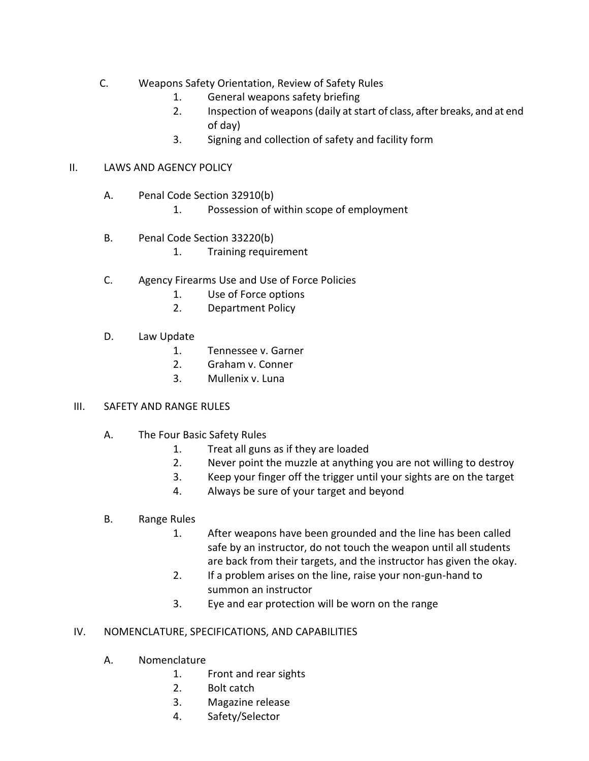- C. Weapons Safety Orientation, Review of Safety Rules
	- 1. General weapons safety briefing
	- 2. Inspection of weapons (daily at start of class, after breaks, and at end of day)
	- 3. Signing and collection of safety and facility form

#### II. LAWS AND AGENCY POLICY

- A. Penal Code Section 32910(b)
	- 1. Possession of within scope of employment
- B. Penal Code Section 33220(b)
	- 1. Training requirement
- C. Agency Firearms Use and Use of Force Policies
	- 1. Use of Force options
	- 2. Department Policy
- D. Law Update
	- 1. Tennessee v. Garner
	- 2. Graham v. Conner
	- 3. Mullenix v. Luna

#### III. SAFETY AND RANGE RULES

- A. The Four Basic Safety Rules
	- 1. Treat all guns as if they are loaded
	- 2. Never point the muzzle at anything you are not willing to destroy
	- 3. Keep your finger off the trigger until your sights are on the target
	- 4. Always be sure of your target and beyond

#### B. Range Rules

- 1. After weapons have been grounded and the line has been called safe by an instructor, do not touch the weapon until all students are back from their targets, and the instructor has given the okay.
- 2. If a problem arises on the line, raise your non-gun-hand to summon an instructor
- 3. Eye and ear protection will be worn on the range

#### IV. NOMENCLATURE, SPECIFICATIONS, AND CAPABILITIES

- A. Nomenclature
	- 1. Front and rear sights
	- 2. Bolt catch
	- 3. Magazine release
	- 4. Safety/Selector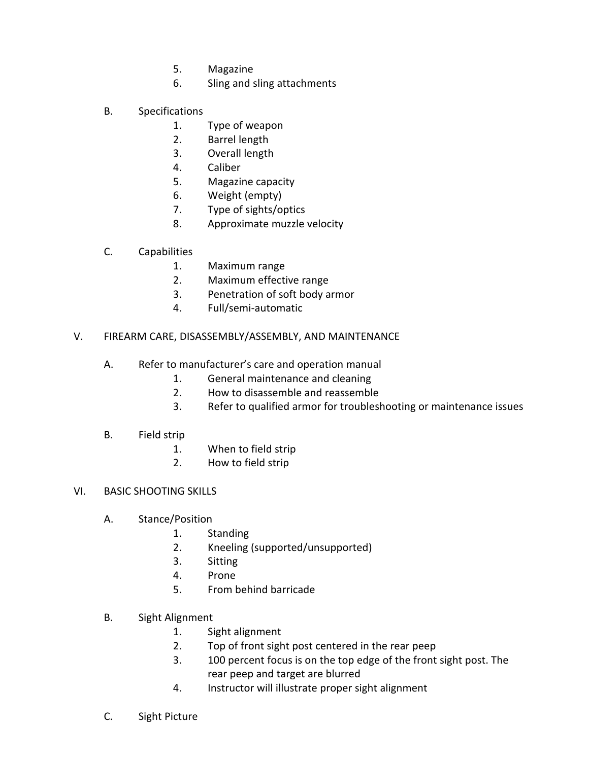- 5. Magazine
- 6. Sling and sling attachments
- B. Specifications
	- 1. Type of weapon
	- 2. Barrel length
	- 3. Overall length
	- 4. Caliber
	- 5. Magazine capacity
	- 6. Weight (empty)
	- 7. Type of sights/optics
	- 8. Approximate muzzle velocity
- C. Capabilities
	- 1. Maximum range
	- 2. Maximum effective range
	- 3. Penetration of soft body armor
	- 4. Full/semi-automatic
- V. FIREARM CARE, DISASSEMBLY/ASSEMBLY, AND MAINTENANCE
	- A. Refer to manufacturer's care and operation manual
		- 1. General maintenance and cleaning
		- 2. How to disassemble and reassemble
		- 3. Refer to qualified armor for troubleshooting or maintenance issues
	- B. Field strip
		- 1. When to field strip
		- 2. How to field strip
- VI. BASIC SHOOTING SKILLS
	- A. Stance/Position
		- 1. Standing
		- 2. Kneeling (supported/unsupported)
		- 3. Sitting
		- 4. Prone
		- 5. From behind barricade
	- B. Sight Alignment
		- 1. Sight alignment
		- 2. Top of front sight post centered in the rear peep
		- 3. 100 percent focus is on the top edge of the front sight post. The rear peep and target are blurred
		- 4. Instructor will illustrate proper sight alignment
	- C. Sight Picture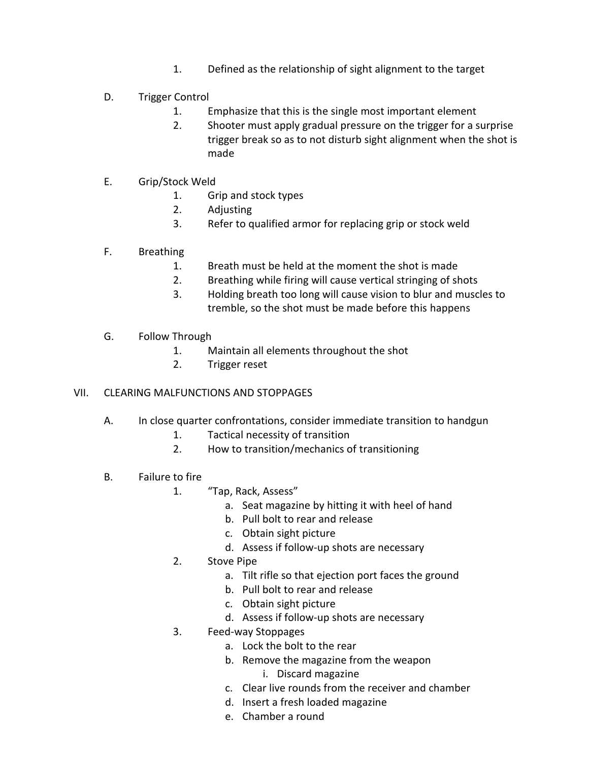- 1. Defined as the relationship of sight alignment to the target
- D. Trigger Control
	- 1. Emphasize that this is the single most important element
	- 2. Shooter must apply gradual pressure on the trigger for a surprise trigger break so as to not disturb sight alignment when the shot is made
- E. Grip/Stock Weld
	- 1. Grip and stock types
	- 2. Adjusting
	- 3. Refer to qualified armor for replacing grip or stock weld
- F. Breathing
	- 1. Breath must be held at the moment the shot is made
	- 2. Breathing while firing will cause vertical stringing of shots
	- 3. Holding breath too long will cause vision to blur and muscles to tremble, so the shot must be made before this happens
- G. Follow Through
	- 1. Maintain all elements throughout the shot
	- 2. Trigger reset

#### VII. CLEARING MALFUNCTIONS AND STOPPAGES

- A. In close quarter confrontations, consider immediate transition to handgun
	- 1. Tactical necessity of transition
	- 2. How to transition/mechanics of transitioning
- B. Failure to fire
	- 1. "Tap, Rack, Assess"
		- a. Seat magazine by hitting it with heel of hand
		- b. Pull bolt to rear and release
		- c. Obtain sight picture
		- d. Assess if follow-up shots are necessary
	- 2. Stove Pipe
		- a. Tilt rifle so that ejection port faces the ground
		- b. Pull bolt to rear and release
		- c. Obtain sight picture
		- d. Assess if follow-up shots are necessary
	- 3. Feed-way Stoppages
		- a. Lock the bolt to the rear
		- b. Remove the magazine from the weapon
			- i. Discard magazine
		- c. Clear live rounds from the receiver and chamber
		- d. Insert a fresh loaded magazine
		- e. Chamber a round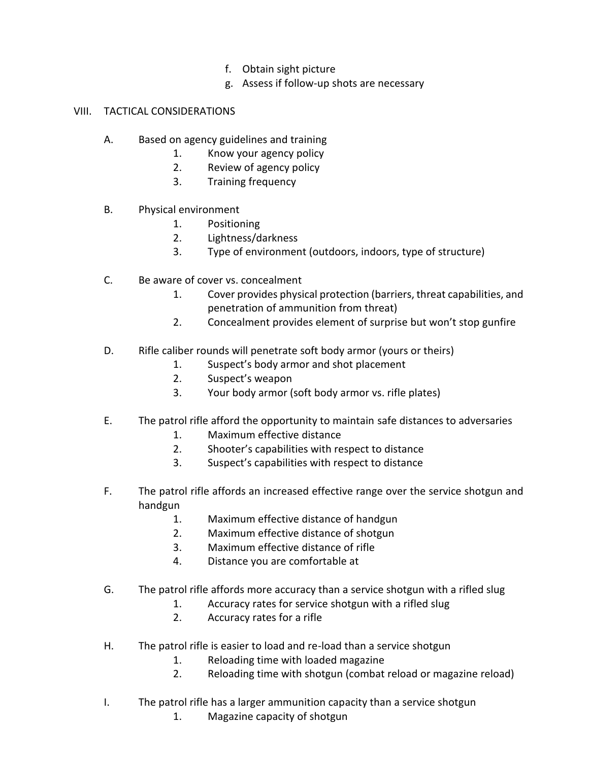- f. Obtain sight picture
- g. Assess if follow-up shots are necessary

## VIII. TACTICAL CONSIDERATIONS

- A. Based on agency guidelines and training
	- 1. Know your agency policy
	- 2. Review of agency policy
	- 3. Training frequency
- B. Physical environment
	- 1. Positioning
	- 2. Lightness/darkness
	- 3. Type of environment (outdoors, indoors, type of structure)
- C. Be aware of cover vs. concealment
	- 1. Cover provides physical protection (barriers, threat capabilities, and penetration of ammunition from threat)
	- 2. Concealment provides element of surprise but won't stop gunfire
- D. Rifle caliber rounds will penetrate soft body armor (yours or theirs)
	- 1. Suspect's body armor and shot placement
	- 2. Suspect's weapon
	- 3. Your body armor (soft body armor vs. rifle plates)
- E. The patrol rifle afford the opportunity to maintain safe distances to adversaries
	- 1. Maximum effective distance
	- 2. Shooter's capabilities with respect to distance
	- 3. Suspect's capabilities with respect to distance
- F. The patrol rifle affords an increased effective range over the service shotgun and handgun
	- 1. Maximum effective distance of handgun
	- 2. Maximum effective distance of shotgun
	- 3. Maximum effective distance of rifle
	- 4. Distance you are comfortable at
- G. The patrol rifle affords more accuracy than a service shotgun with a rifled slug
	- 1. Accuracy rates for service shotgun with a rifled slug
	- 2. Accuracy rates for a rifle
- H. The patrol rifle is easier to load and re-load than a service shotgun
	- 1. Reloading time with loaded magazine
	- 2. Reloading time with shotgun (combat reload or magazine reload)
- I. The patrol rifle has a larger ammunition capacity than a service shotgun
	- 1. Magazine capacity of shotgun